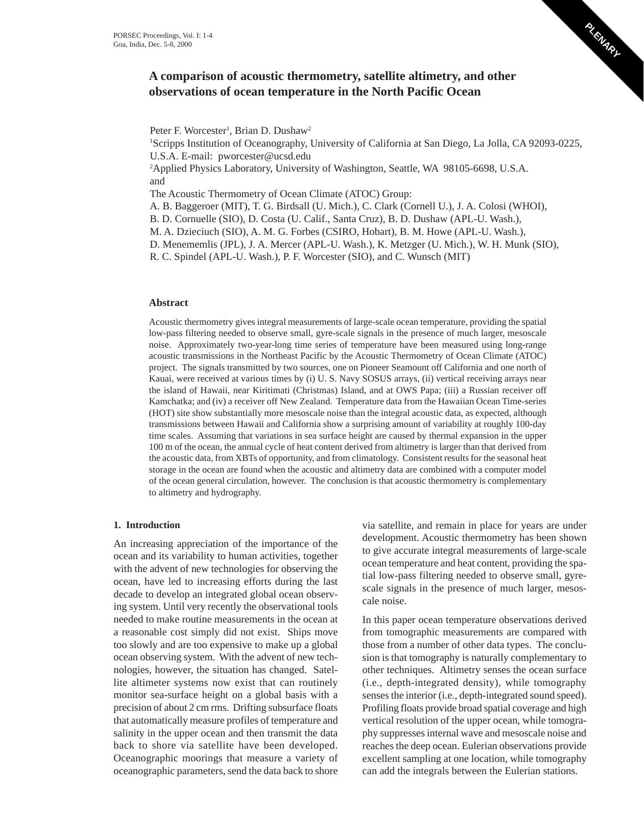

# **A comparison of acoustic thermometry, satellite altimetry, and other observations of ocean temperature in the North Pacific Ocean**

Peter F. Worcester<sup>1</sup>, Brian D. Dushaw<sup>2</sup>

1 Scripps Institution of Oceanography, University of California at San Diego, La Jolla, CA 92093-0225, U.S.A. E-mail: pworcester@ucsd.edu

<sup>2</sup>Applied Physics Laboratory, University of Washington, Seattle, WA 98105-6698, U.S.A. and

The Acoustic Thermometry of Ocean Climate (ATOC) Group:

A. B. Baggeroer (MIT), T. G. Birdsall (U. Mich.), C. Clark (Cornell U.), J. A. Colosi (WHOI),

B. D. Cornuelle (SIO), D. Costa (U. Calif., Santa Cruz), B. D. Dushaw (APL-U. Wash.),

M. A. Dzieciuch (SIO), A. M. G. Forbes (CSIRO, Hobart), B. M. Howe (APL-U. Wash.),

D. Menememlis (JPL), J. A. Mercer (APL-U. Wash.), K. Metzger (U. Mich.), W. H. Munk (SIO),

R. C. Spindel (APL-U. Wash.), P. F. Worcester (SIO), and C. Wunsch (MIT)

### **Abstract**

Acoustic thermometry gives integral measurements of large-scale ocean temperature, providing the spatial low-pass filtering needed to observe small, gyre-scale signals in the presence of much larger, mesoscale noise. Approximately two-year-long time series of temperature have been measured using long-range acoustic transmissions in the Northeast Pacific by the Acoustic Thermometry of Ocean Climate (ATOC) project. The signals transmitted by two sources, one on Pioneer Seamount off California and one north of Kauai, were received at various times by (i) U. S. Navy SOSUS arrays, (ii) vertical receiving arrays near the island of Hawaii, near Kiritimati (Christmas) Island, and at OWS Papa; (iii) a Russian receiver off Kamchatka; and (iv) a receiver off New Zealand. Temperature data from the Hawaiian Ocean Time-series (HOT) site show substantially more mesoscale noise than the integral acoustic data, as expected, although transmissions between Hawaii and California show a surprising amount of variability at roughly 100-day time scales. Assuming that variations in sea surface height are caused by thermal expansion in the upper 100 m of the ocean, the annual cycle of heat content derived from altimetry is larger than that derived from the acoustic data, from XBTs of opportunity, and from climatology. Consistent results for the seasonal heat storage in the ocean are found when the acoustic and altimetry data are combined with a computer model of the ocean general circulation, however. The conclusion is that acoustic thermometry is complementary to altimetry and hydrography.

## **1. Introduction**

An increasing appreciation of the importance of the ocean and its variability to human activities, together with the advent of new technologies for observing the ocean, have led to increasing efforts during the last decade to develop an integrated global ocean observing system. Until very recently the observational tools needed to make routine measurements in the ocean at a reasonable cost simply did not exist. Ships move too slowly and are too expensive to make up a global ocean observing system. With the advent of new technologies, however, the situation has changed. Satellite altimeter systems now exist that can routinely monitor sea-surface height on a global basis with a precision of about 2 cm rms. Drifting subsurface floats that automatically measure profiles of temperature and salinity in the upper ocean and then transmit the data back to shore via satellite have been developed. Oceanographic moorings that measure a variety of oceanographic parameters, send the data back to shore

via satellite, and remain in place for years are under development. Acoustic thermometry has been shown to give accurate integral measurements of large-scale ocean temperature and heat content, providing the spatial low-pass filtering needed to observe small, gyrescale signals in the presence of much larger, mesoscale noise.

In this paper ocean temperature observations derived from tomographic measurements are compared with those from a number of other data types. The conclusion is that tomography is naturally complementary to other techniques. Altimetry senses the ocean surface (i.e., depth-integrated density), while tomography senses the interior (i.e., depth-integrated sound speed). Profiling floats provide broad spatial coverage and high vertical resolution of the upper ocean, while tomography suppresses internal wave and mesoscale noise and reaches the deep ocean. Eulerian observations provide excellent sampling at one location, while tomography can add the integrals between the Eulerian stations.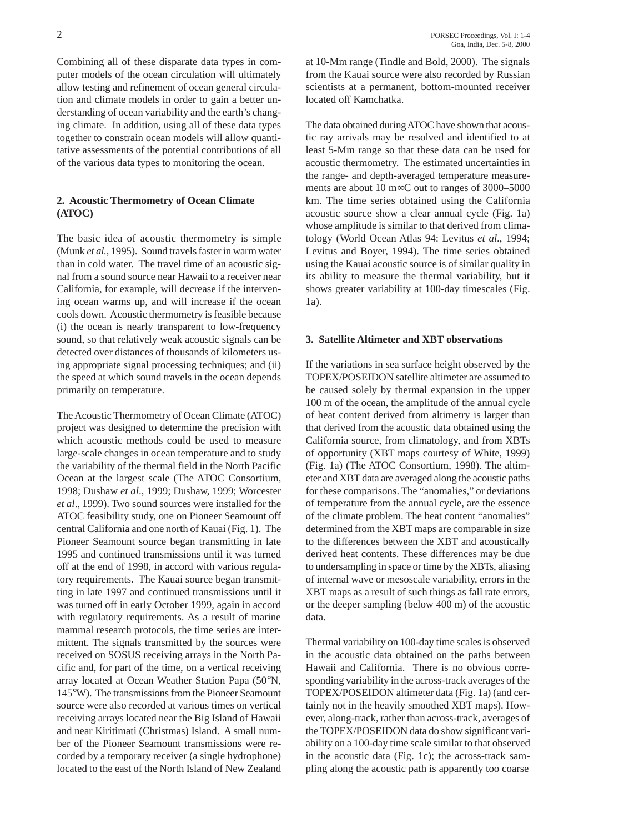Combining all of these disparate data types in computer models of the ocean circulation will ultimately allow testing and refinement of ocean general circulation and climate models in order to gain a better understanding of ocean variability and the earth's changing climate. In addition, using all of these data types together to constrain ocean models will allow quantitative assessments of the potential contributions of all of the various data types to monitoring the ocean.

## **2. Acoustic Thermometry of Ocean Climate (ATOC)**

The basic idea of acoustic thermometry is simple (Munk *et al.*, 1995). Sound travels faster in warm water than in cold water. The travel time of an acoustic signal from a sound source near Hawaii to a receiver near California, for example, will decrease if the intervening ocean warms up, and will increase if the ocean cools down. Acoustic thermometry is feasible because (i) the ocean is nearly transparent to low-frequency sound, so that relatively weak acoustic signals can be detected over distances of thousands of kilometers using appropriate signal processing techniques; and (ii) the speed at which sound travels in the ocean depends primarily on temperature.

The Acoustic Thermometry of Ocean Climate (ATOC) project was designed to determine the precision with which acoustic methods could be used to measure large-scale changes in ocean temperature and to study the variability of the thermal field in the North Pacific Ocean at the largest scale (The ATOC Consortium, 1998; Dushaw *et al*., 1999; Dushaw, 1999; Worcester *et al*., 1999). Two sound sources were installed for the ATOC feasibility study, one on Pioneer Seamount off central California and one north of Kauai (Fig. 1). The Pioneer Seamount source began transmitting in late 1995 and continued transmissions until it was turned off at the end of 1998, in accord with various regulatory requirements. The Kauai source began transmitting in late 1997 and continued transmissions until it was turned off in early October 1999, again in accord with regulatory requirements. As a result of marine mammal research protocols, the time series are intermittent. The signals transmitted by the sources were received on SOSUS receiving arrays in the North Pacific and, for part of the time, on a vertical receiving array located at Ocean Weather Station Papa (50°N, 145°W). The transmissions from the Pioneer Seamount source were also recorded at various times on vertical receiving arrays located near the Big Island of Hawaii and near Kiritimati (Christmas) Island. A small number of the Pioneer Seamount transmissions were recorded by a temporary receiver (a single hydrophone) located to the east of the North Island of New Zealand

at 10-Mm range (Tindle and Bold, 2000). The signals from the Kauai source were also recorded by Russian scientists at a permanent, bottom-mounted receiver located off Kamchatka.

The data obtained during ATOC have shown that acoustic ray arrivals may be resolved and identified to at least 5-Mm range so that these data can be used for acoustic thermometry. The estimated uncertainties in the range- and depth-averaged temperature measurements are about 10 m∞C out to ranges of 3000–5000 km. The time series obtained using the California acoustic source show a clear annual cycle (Fig. 1a) whose amplitude is similar to that derived from climatology (World Ocean Atlas 94: Levitus *et al*., 1994; Levitus and Boyer, 1994). The time series obtained using the Kauai acoustic source is of similar quality in its ability to measure the thermal variability, but it shows greater variability at 100-day timescales (Fig. 1a).

#### **3. Satellite Altimeter and XBT observations**

If the variations in sea surface height observed by the TOPEX/POSEIDON satellite altimeter are assumed to be caused solely by thermal expansion in the upper 100 m of the ocean, the amplitude of the annual cycle of heat content derived from altimetry is larger than that derived from the acoustic data obtained using the California source, from climatology, and from XBTs of opportunity (XBT maps courtesy of White, 1999) (Fig. 1a) (The ATOC Consortium, 1998). The altimeter and XBT data are averaged along the acoustic paths for these comparisons. The "anomalies," or deviations of temperature from the annual cycle, are the essence of the climate problem. The heat content "anomalies" determined from the XBT maps are comparable in size to the differences between the XBT and acoustically derived heat contents. These differences may be due to undersampling in space or time by the XBTs, aliasing of internal wave or mesoscale variability, errors in the XBT maps as a result of such things as fall rate errors, or the deeper sampling (below 400 m) of the acoustic data.

Thermal variability on 100-day time scales is observed in the acoustic data obtained on the paths between Hawaii and California. There is no obvious corresponding variability in the across-track averages of the TOPEX/POSEIDON altimeter data (Fig. 1a) (and certainly not in the heavily smoothed XBT maps). However, along-track, rather than across-track, averages of the TOPEX/POSEIDON data do show significant variability on a 100-day time scale similar to that observed in the acoustic data (Fig. 1c); the across-track sampling along the acoustic path is apparently too coarse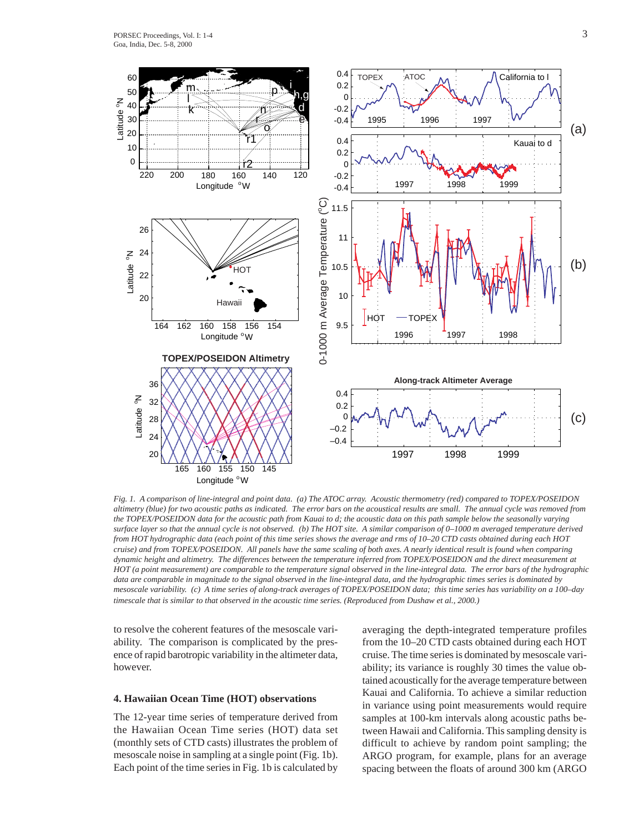

*Fig. 1. A comparison of line-integral and point data. (a) The ATOC array. Acoustic thermometry (red) compared to TOPEX/POSEIDON altimetry (blue) for two acoustic paths as indicated. The error bars on the acoustical results are small. The annual cycle was removed from the TOPEX/POSEIDON data for the acoustic path from Kauai to d; the acoustic data on this path sample below the seasonally varying surface layer so that the annual cycle is not observed. (b) The HOT site. A similar comparison of 0–1000 m averaged temperature derived from HOT hydrographic data (each point of this time series shows the average and rms of 10–20 CTD casts obtained during each HOT cruise) and from TOPEX/POSEIDON. All panels have the same scaling of both axes. A nearly identical result is found when comparing dynamic height and altimetry. The differences between the temperature inferred from TOPEX/POSEIDON and the direct measurement at HOT (a point measurement) are comparable to the temperature signal observed in the line-integral data. The error bars of the hydrographic data are comparable in magnitude to the signal observed in the line-integral data, and the hydrographic times series is dominated by mesoscale variability. (c) A time series of along-track averages of TOPEX/POSEIDON data; this time series has variability on a 100–day timescale that is similar to that observed in the acoustic time series. (Reproduced from Dushaw et al., 2000.)*

to resolve the coherent features of the mesoscale variability. The comparison is complicated by the presence of rapid barotropic variability in the altimeter data, however.

#### **4. Hawaiian Ocean Time (HOT) observations**

The 12-year time series of temperature derived from the Hawaiian Ocean Time series (HOT) data set (monthly sets of CTD casts) illustrates the problem of mesoscale noise in sampling at a single point (Fig. 1b). Each point of the time series in Fig. 1b is calculated by averaging the depth-integrated temperature profiles from the 10–20 CTD casts obtained during each HOT cruise. The time series is dominated by mesoscale variability; its variance is roughly 30 times the value obtained acoustically for the average temperature between Kauai and California. To achieve a similar reduction in variance using point measurements would require samples at 100-km intervals along acoustic paths between Hawaii and California. This sampling density is difficult to achieve by random point sampling; the ARGO program, for example, plans for an average spacing between the floats of around 300 km (ARGO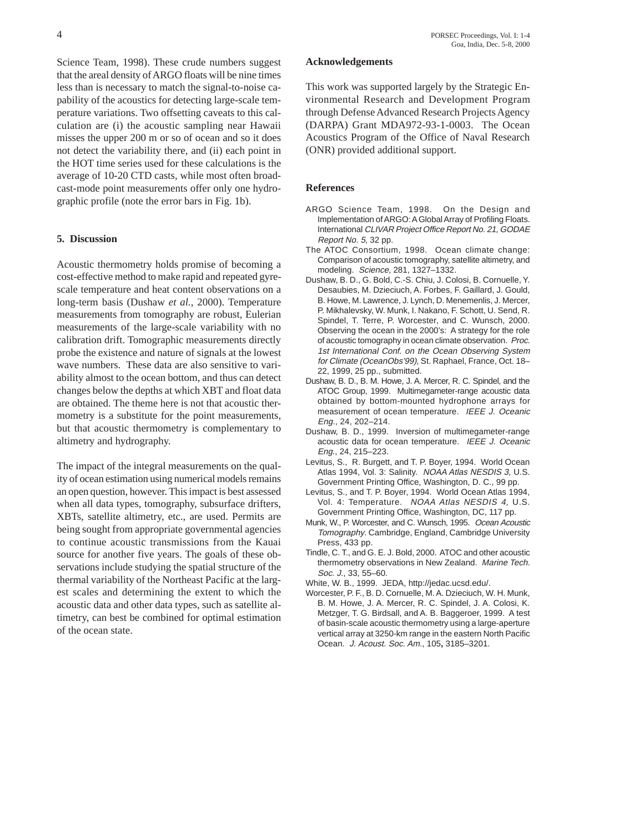Science Team, 1998). These crude numbers suggest that the areal density of ARGO floats will be nine times less than is necessary to match the signal-to-noise capability of the acoustics for detecting large-scale temperature variations. Two offsetting caveats to this calculation are (i) the acoustic sampling near Hawaii misses the upper 200 m or so of ocean and so it does not detect the variability there, and (ii) each point in the HOT time series used for these calculations is the average of 10-20 CTD casts, while most often broadcast-mode point measurements offer only one hydrographic profile (note the error bars in Fig. 1b).

#### **5. Discussion**

Acoustic thermometry holds promise of becoming a cost-effective method to make rapid and repeated gyrescale temperature and heat content observations on a long-term basis (Dushaw *et al.*, 2000). Temperature measurements from tomography are robust, Eulerian measurements of the large-scale variability with no calibration drift. Tomographic measurements directly probe the existence and nature of signals at the lowest wave numbers. These data are also sensitive to variability almost to the ocean bottom, and thus can detect changes below the depths at which XBT and float data are obtained. The theme here is not that acoustic thermometry is a substitute for the point measurements, but that acoustic thermometry is complementary to altimetry and hydrography.

The impact of the integral measurements on the quality of ocean estimation using numerical models remains an open question, however. This impact is best assessed when all data types, tomography, subsurface drifters, XBTs, satellite altimetry, etc., are used. Permits are being sought from appropriate governmental agencies to continue acoustic transmissions from the Kauai source for another five years. The goals of these observations include studying the spatial structure of the thermal variability of the Northeast Pacific at the largest scales and determining the extent to which the acoustic data and other data types, such as satellite altimetry, can best be combined for optimal estimation of the ocean state.

#### **Acknowledgements**

This work was supported largely by the Strategic Environmental Research and Development Program through Defense Advanced Research Projects Agency (DARPA) Grant MDA972-93-1-0003. The Ocean Acoustics Program of the Office of Naval Research (ONR) provided additional support.

#### **References**

- ARGO Science Team, 1998. On the Design and Implementation of ARGO: A Global Array of Profiling Floats. International CLIVAR Project Office Report No. 21, GODAE Report No. 5, 32 pp.
- The ATOC Consortium, 1998. Ocean climate change: Comparison of acoustic tomography, satellite altimetry, and modeling. Science, 281, 1327–1332.
- Dushaw, B. D., G. Bold, C.-S. Chiu, J. Colosi, B. Cornuelle, Y. Desaubies, M. Dzieciuch, A. Forbes, F. Gaillard, J. Gould, B. Howe, M. Lawrence, J. Lynch, D. Menemenlis, J. Mercer, P. Mikhalevsky, W. Munk, I. Nakano, F. Schott, U. Send, R. Spindel, T. Terre, P. Worcester, and C. Wunsch, 2000. Observing the ocean in the 2000's: A strategy for the role of acoustic tomography in ocean climate observation. Proc. 1st International Conf. on the Ocean Observing System for Climate (OceanObs'99), St. Raphael, France, Oct. 18– 22, 1999, 25 pp., submitted.
- Dushaw, B. D., B. M. Howe, J. A. Mercer, R. C. Spindel, and the ATOC Group, 1999. Multimegameter-range acoustic data obtained by bottom-mounted hydrophone arrays for measurement of ocean temperature. IEEE J. Oceanic Eng., 24, 202–214.
- Dushaw, B. D., 1999. Inversion of multimegameter-range acoustic data for ocean temperature. IEEE J. Oceanic Eng., 24, 215–223.
- Levitus, S., R. Burgett, and T. P. Boyer, 1994. World Ocean Atlas 1994, Vol. 3: Salinity. NOAA Atlas NESDIS 3, U.S. Government Printing Office, Washington, D. C., 99 pp.
- Levitus, S., and T. P. Boyer, 1994. World Ocean Atlas 1994, Vol. 4: Temperature. NOAA Atlas NESDIS 4, U.S. Government Printing Office, Washington, DC, 117 pp.
- Munk, W., P. Worcester, and C. Wunsch, 1995. Ocean Acoustic Tomography. Cambridge, England, Cambridge University Press, 433 pp.
- Tindle, C. T., and G. E. J. Bold, 2000. ATOC and other acoustic thermometry observations in New Zealand. Marine Tech. Soc. J., 33, 55–60.

White, W. B., 1999. JEDA, http://jedac.ucsd.edu/.

Worcester, P. F., B. D. Cornuelle, M. A. Dzieciuch, W. H. Munk, B. M. Howe, J. A. Mercer, R. C. Spindel, J. A. Colosi, K. Metzger, T. G. Birdsall, and A. B. Baggeroer, 1999. A test of basin-scale acoustic thermometry using a large-aperture vertical array at 3250-km range in the eastern North Pacific Ocean. J. Acoust. Soc. Am., 105**,** 3185–3201.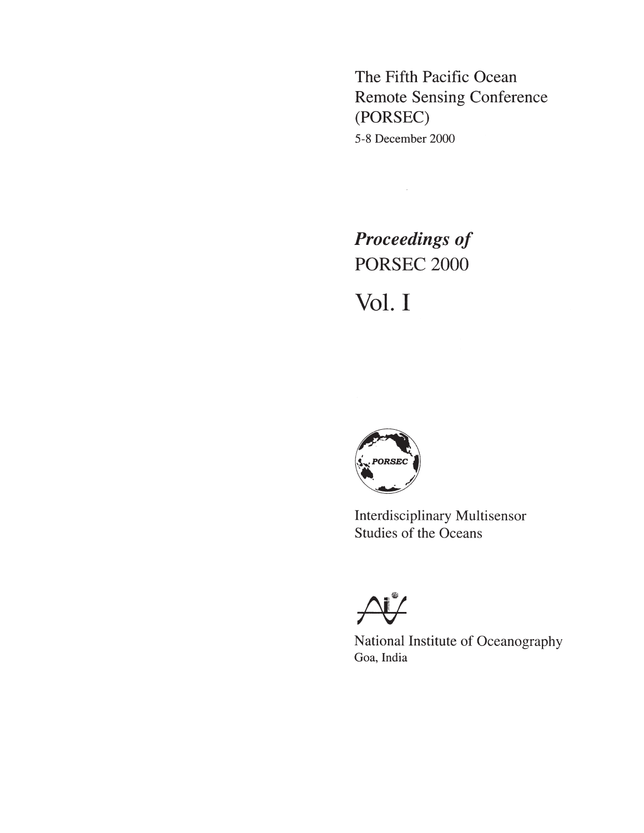The Fifth Pacific Ocean **Remote Sensing Conference** (PORSEC) 5-8 December 2000

**Proceedings of PORSEC 2000** Vol. I

 $\mathcal{L}^{\text{max}}_{\text{max}}$ 



Interdisciplinary Multisensor **Studies of the Oceans** 



National Institute of Oceanography Goa, India